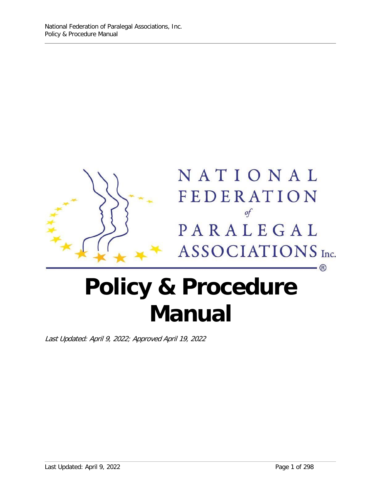

# **Policy & Procedure Manual**

Last Updated: April 9, 2022; Approved April 19, 2022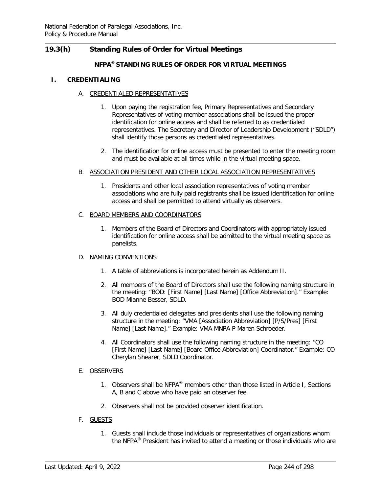# **19.3(h) Standing Rules of Order for Virtual Meetings**

# **NFPA® STANDING RULES OF ORDER FOR VIRTUAL MEETINGS**

#### **I. CREDENTIALING**

### A. CREDENTIALED REPRESENTATIVES

- 1. Upon paying the registration fee, Primary Representatives and Secondary Representatives of voting member associations shall be issued the proper identification for online access and shall be referred to as credentialed representatives. The Secretary and Director of Leadership Development ("SDLD") shall identify those persons as credentialed representatives.
- 2. The identification for online access must be presented to enter the meeting room and must be available at all times while in the virtual meeting space.

### B. ASSOCIATION PRESIDENT AND OTHER LOCAL ASSOCIATION REPRESENTATIVES

1. Presidents and other local association representatives of voting member associations who are fully paid registrants shall be issued identification for online access and shall be permitted to attend virtually as observers.

#### C. BOARD MEMBERS AND COORDINATORS

1. Members of the Board of Directors and Coordinators with appropriately issued identification for online access shall be admitted to the virtual meeting space as panelists.

#### D. NAMING CONVENTIONS

- 1. A table of abbreviations is incorporated herein as Addendum II.
- 2. All members of the Board of Directors shall use the following naming structure in the meeting: "BOD: [First Name] [Last Name] [Office Abbreviation]." Example: BOD Mianne Besser, SDLD.
- 3. All duly credentialed delegates and presidents shall use the following naming structure in the meeting: "VMA [Association Abbreviation] [P/S/Pres] [First Name] [Last Name]." Example: VMA MNPA P Maren Schroeder.
- 4. All Coordinators shall use the following naming structure in the meeting: "CO [First Name] [Last Name] [Board Office Abbreviation] Coordinator." Example: CO Cherylan Shearer, SDLD Coordinator.

#### E. OBSERVERS

- 1. Observers shall be NFPA<sup>®</sup> members other than those listed in Article I, Sections A, B and C above who have paid an observer fee.
- 2. Observers shall not be provided observer identification.

# F. GUESTS

1. Guests shall include those individuals or representatives of organizations whom the NFPA<sup>®</sup> President has invited to attend a meeting or those individuals who are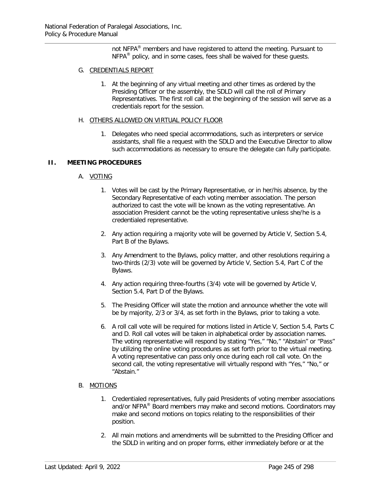not NFPA<sup>®</sup> members and have registered to attend the meeting. Pursuant to  $NFPA<sup>®</sup>$  policy, and in some cases, fees shall be waived for these guests.

## G. CREDENTIALS REPORT

1. At the beginning of any virtual meeting and other times as ordered by the Presiding Officer or the assembly, the SDLD will call the roll of Primary Representatives. The first roll call at the beginning of the session will serve as a credentials report for the session.

#### H. OTHERS ALLOWED ON VIRTUAL POLICY FLOOR

1. Delegates who need special accommodations, such as interpreters or service assistants, shall file a request with the SDLD and the Executive Director to allow such accommodations as necessary to ensure the delegate can fully participate.

### **II. MEETING PROCEDURES**

### A. VOTING

- 1. Votes will be cast by the Primary Representative, or in her/his absence, by the Secondary Representative of each voting member association. The person authorized to cast the vote will be known as the voting representative. An association President cannot be the voting representative unless she/he is a credentialed representative.
- 2. Any action requiring a majority vote will be governed by Article V, Section 5.4, Part B of the Bylaws.
- 3. Any Amendment to the Bylaws, policy matter, and other resolutions requiring a two-thirds (2/3) vote will be governed by Article V, Section 5.4, Part C of the Bylaws.
- 4. Any action requiring three-fourths (3/4) vote will be governed by Article V, Section 5.4, Part D of the Bylaws.
- 5. The Presiding Officer will state the motion and announce whether the vote will be by majority, 2/3 or 3/4, as set forth in the Bylaws, prior to taking a vote.
- 6. A roll call vote will be required for motions listed in Article V, Section 5.4, Parts C and D. Roll call votes will be taken in alphabetical order by association names. The voting representative will respond by stating "Yes," "No," "Abstain" or "Pass" by utilizing the online voting procedures as set forth prior to the virtual meeting. A voting representative can pass only once during each roll call vote. On the second call, the voting representative will virtually respond with "Yes," "No," or "Abstain."

# B. MOTIONS

- 1. Credentialed representatives, fully paid Presidents of voting member associations and/or NFPA® Board members may make and second motions. Coordinators may make and second motions on topics relating to the responsibilities of their position.
- 2. All main motions and amendments will be submitted to the Presiding Officer and the SDLD in writing and on proper forms, either immediately before or at the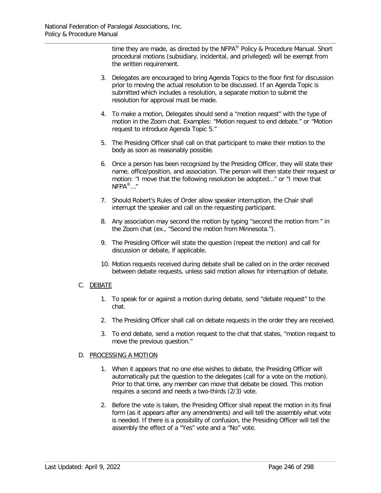time they are made, as directed by the NFPA® Policy & Procedure Manual. Short procedural motions (subsidiary, incidental, and privileged) will be exempt from the written requirement.

- 3. Delegates are encouraged to bring Agenda Topics to the floor first for discussion prior to moving the actual resolution to be discussed. If an Agenda Topic is submitted which includes a resolution, a separate motion to submit the resolution for approval must be made.
- 4. To make a motion, Delegates should send a "motion request" with the type of motion in the Zoom chat. Examples: "Motion request to end debate." or "Motion request to introduce Agenda Topic 5."
- 5. The Presiding Officer shall call on that participant to make their motion to the body as soon as reasonably possible.
- 6. Once a person has been recognized by the Presiding Officer, they will state their name, office/position, and association. The person will then state their request or motion: "I move that the following resolution be adopted..." or "I move that  $NFPA^{\circledR}...$ "
- 7. Should Robert's Rules of Order allow speaker interruption, the Chair shall interrupt the speaker and call on the requesting participant.
- 8. Any association may second the motion by typing "second the motion from " in the Zoom chat (ex., "Second the motion from Minnesota.").
- 9. The Presiding Officer will state the question (repeat the motion) and call for discussion or debate, if applicable.
- 10. Motion requests received during debate shall be called on in the order received between debate requests, unless said motion allows for interruption of debate.

# C. DEBATE

- 1. To speak for or against a motion during debate, send "debate request" to the chat.
- 2. The Presiding Officer shall call on debate requests in the order they are received.
- 3. To end debate, send a motion request to the chat that states, "motion request to move the previous question."

# D. PROCESSING A MOTION

- 1. When it appears that no one else wishes to debate, the Presiding Officer will automatically put the question to the delegates (call for a vote on the motion). Prior to that time, any member can move that debate be closed. This motion requires a second and needs a two-thirds (2/3) vote.
- 2. Before the vote is taken, the Presiding Officer shall repeat the motion in its final form (as it appears after any amendments) and will tell the assembly what vote is needed. If there is a possibility of confusion, the Presiding Officer will tell the assembly the effect of a "Yes" vote and a "No" vote.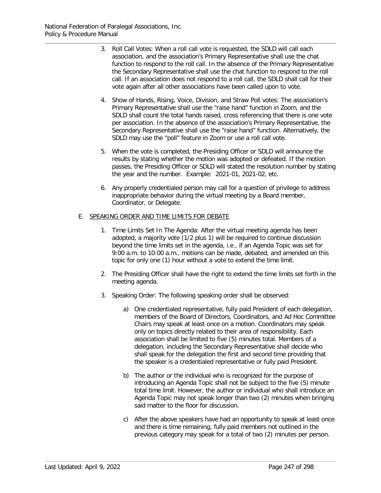- 3. Roll Call Votes: When a roll call vote is requested, the SDLD will call each association, and the association's Primary Representative shall use the chat function to respond to the roll call. In the absence of the Primary Representative the Secondary Representative shall use the chat function to respond to the roll call. If an association does not respond to a roll call, the SDLD shall call for their vote again after all other associations have been called upon to vote.
- 4. Show of Hands, Rising, Voice, Division, and Straw Poll votes: The association's Primary Representative shall use the "raise hand" function in Zoom, and the SDLD shall count the total hands raised, cross referencing that there is one vote per association. In the absence of the association's Primary Representative, the Secondary Representative shall use the "raise hand" function. Alternatively, the SDLD may use the "poll" feature in Zoom or use a roll call vote.
- 5. When the vote is completed, the Presiding Officer or SDLD will announce the results by stating whether the motion was adopted or defeated. If the motion passes, the Presiding Officer or SDLD will stated the resolution number by stating the year and the number. Example: 2021-01, 2021-02, etc.
- 6. Any properly credentialed person may call for a question of privilege to address inappropriate behavior during the virtual meeting by a Board member, Coordinator, or Delegate.

### E. SPEAKING ORDER AND TIME LIMITS FOR DEBATE

- 1. Time Limits Set In The Agenda: After the virtual meeting agenda has been adopted, a majority vote (1/2 plus 1) will be required to continue discussion beyond the time limits set in the agenda, i.e., if an Agenda Topic was set for 9:00 a.m. to 10:00 a.m., motions can be made, debated, and amended on this topic for only one (1) hour without a vote to extend the time limit.
- 2. The Presiding Officer shall have the right to extend the time limits set forth in the meeting agenda.
- 3. Speaking Order: The following speaking order shall be observed:
	- a) One credentialed representative, fully paid President of each delegation, members of the Board of Directors, Coordinators, and Ad Hoc Committee Chairs may speak at least once on a motion. Coordinators may speak only on topics directly related to their area of responsibility. Each association shall be limited to five (5) minutes total. Members of a delegation, including the Secondary Representative shall decide who shall speak for the delegation the first and second time providing that the speaker is a credentialed representative or fully paid President.
	- b) The author or the individual who is recognized for the purpose of introducing an Agenda Topic shall not be subject to the five (5) minute total time limit. However, the author or individual who shall introduce an Agenda Topic may not speak longer than two (2) minutes when bringing said matter to the floor for discussion.
	- c) After the above speakers have had an opportunity to speak at least once and there is time remaining, fully paid members not outlined in the previous category may speak for a total of two (2) minutes per person.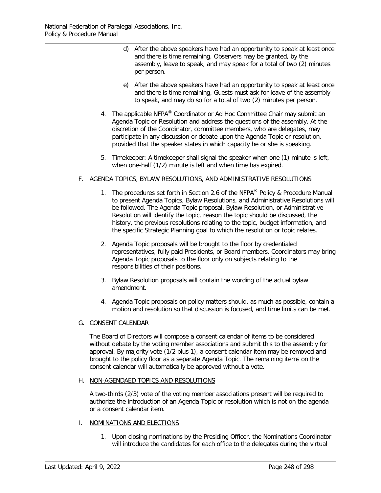- d) After the above speakers have had an opportunity to speak at least once and there is time remaining, Observers may be granted, by the assembly, leave to speak, and may speak for a total of two (2) minutes per person.
- e) After the above speakers have had an opportunity to speak at least once and there is time remaining, Guests must ask for leave of the assembly to speak, and may do so for a total of two (2) minutes per person.
- 4. The applicable NFPA® Coordinator or Ad Hoc Committee Chair may submit an Agenda Topic or Resolution and address the questions of the assembly. At the discretion of the Coordinator, committee members, who are delegates, may participate in any discussion or debate upon the Agenda Topic or resolution, provided that the speaker states in which capacity he or she is speaking.
- 5. Timekeeper: A timekeeper shall signal the speaker when one (1) minute is left, when one-half (1/2) minute is left and when time has expired.

# F. AGENDA TOPICS, BYLAW RESOLUTIONS, AND ADMINISTRATIVE RESOLUTIONS

- 1. The procedures set forth in Section 2.6 of the NFPA<sup>®</sup> Policy & Procedure Manual to present Agenda Topics, Bylaw Resolutions, and Administrative Resolutions will be followed. The Agenda Topic proposal, Bylaw Resolution, or Administrative Resolution will identify the topic, reason the topic should be discussed, the history, the previous resolutions relating to the topic, budget information, and the specific Strategic Planning goal to which the resolution or topic relates.
- 2. Agenda Topic proposals will be brought to the floor by credentialed representatives, fully paid Presidents, or Board members. Coordinators may bring Agenda Topic proposals to the floor only on subjects relating to the responsibilities of their positions.
- 3. Bylaw Resolution proposals will contain the wording of the actual bylaw amendment.
- 4. Agenda Topic proposals on policy matters should, as much as possible, contain a motion and resolution so that discussion is focused, and time limits can be met.

# G. CONSENT CALENDAR

The Board of Directors will compose a consent calendar of items to be considered without debate by the voting member associations and submit this to the assembly for approval. By majority vote (1/2 plus 1), a consent calendar item may be removed and brought to the policy floor as a separate Agenda Topic. The remaining items on the consent calendar will automatically be approved without a vote.

#### H. NON-AGENDAED TOPICS AND RESOLUTIONS

A two-thirds (2/3) vote of the voting member associations present will be required to authorize the introduction of an Agenda Topic or resolution which is not on the agenda or a consent calendar item.

#### I. NOMINATIONS AND ELECTIONS

1. Upon closing nominations by the Presiding Officer, the Nominations Coordinator will introduce the candidates for each office to the delegates during the virtual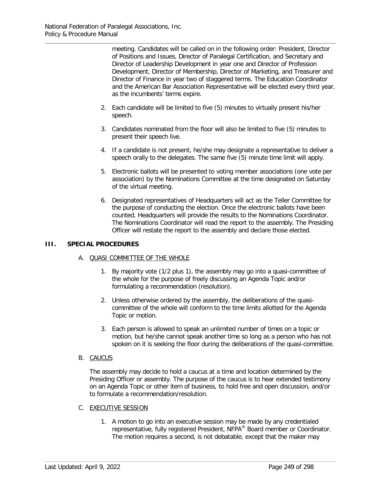meeting. Candidates will be called on in the following order: President, Director of Positions and Issues, Director of Paralegal Certification, and Secretary and Director of Leadership Development in year one and Director of Profession Development, Director of Membership, Director of Marketing, and Treasurer and Director of Finance in year two of staggered terms. The Education Coordinator and the American Bar Association Representative will be elected every third year, as the incumbents' terms expire.

- 2. Each candidate will be limited to five (5) minutes to virtually present his/her speech.
- 3. Candidates nominated from the floor will also be limited to five (5) minutes to present their speech live.
- 4. If a candidate is not present, he/she may designate a representative to deliver a speech orally to the delegates. The same five (5) minute time limit will apply.
- 5. Electronic ballots will be presented to voting member associations (one vote per association) by the Nominations Committee at the time designated on Saturday of the virtual meeting.
- 6. Designated representatives of Headquarters will act as the Teller Committee for the purpose of conducting the election. Once the electronic ballots have been counted, Headquarters will provide the results to the Nominations Coordinator. The Nominations Coordinator will read the report to the assembly. The Presiding Officer will restate the report to the assembly and declare those elected.

# **III. SPECIAL PROCEDURES**

# A. QUASI COMMITTEE OF THE WHOLE

- 1. By majority vote (1/2 plus 1), the assembly may go into a quasi-committee of the whole for the purpose of freely discussing an Agenda Topic and/or formulating a recommendation (resolution).
- 2. Unless otherwise ordered by the assembly, the deliberations of the quasicommittee of the whole will conform to the time limits allotted for the Agenda Topic or motion.
- 3. Each person is allowed to speak an unlimited number of times on a topic or motion, but he/she cannot speak another time so long as a person who has not spoken on it is seeking the floor during the deliberations of the quasi-committee.
- B. CAUCUS

The assembly may decide to hold a caucus at a time and location determined by the Presiding Officer or assembly. The purpose of the caucus is to hear extended testimony on an Agenda Topic or other item of business, to hold free and open discussion, and/or to formulate a recommendation/resolution.

- C. EXECUTIVE SESSION
	- 1. A motion to go into an executive session may be made by any credentialed representative, fully registered President, NFPA® Board member or Coordinator. The motion requires a second, is not debatable, except that the maker may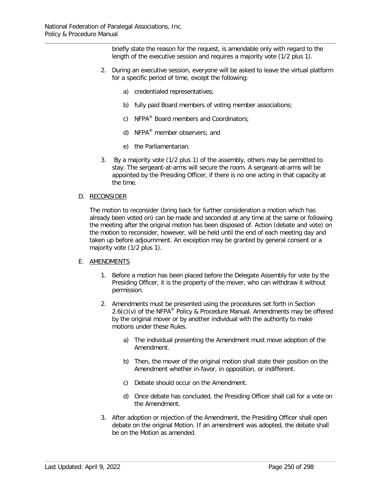briefly state the reason for the request, is amendable only with regard to the length of the executive session and requires a majority vote (1/2 plus 1).

- 2. During an executive session, everyone will be asked to leave the virtual platform for a specific period of time, except the following:
	- a) credentialed representatives;
	- b) fully paid Board members of voting member associations;
	- c) NFPA<sup>®</sup> Board members and Coordinators;
	- d) NFPA® member observers; and
	- e) the Parliamentarian.
- 3. By a majority vote (1/2 plus 1) of the assembly, others may be permitted to stay. The sergeant-at-arms will secure the room. A sergeant-at-arms will be appointed by the Presiding Officer, if there is no one acting in that capacity at the time.

#### D. RECONSIDER

The motion to reconsider (bring back for further consideration a motion which has already been voted on) can be made and seconded at any time at the same or following the meeting after the original motion has been disposed of. Action (debate and vote) on the motion to reconsider, however, will be held until the end of each meeting day and taken up before adjournment. An exception may be granted by general consent or a majority vote (1/2 plus 1).

#### E. AMENDMENTS

- 1. Before a motion has been placed before the Delegate Assembly for vote by the Presiding Officer, it is the property of the mover, who can withdraw it without permission.
- 2. Amendments must be presented using the procedures set forth in Section  $2.6(c)(v)$  of the NFPA® Policy & Procedure Manual. Amendments may be offered by the original mover or by another individual with the authority to make motions under these Rules.
	- a) The individual presenting the Amendment must move adoption of the Amendment.
	- b) Then, the mover of the original motion shall state their position on the Amendment whether in-favor, in opposition, or indifferent.
	- c) Debate should occur on the Amendment.
	- d) Once debate has concluded, the Presiding Officer shall call for a vote on the Amendment.
- 3. After adoption or rejection of the Amendment, the Presiding Officer shall open debate on the original Motion. If an amendment was adopted, the debate shall be on the Motion as amended.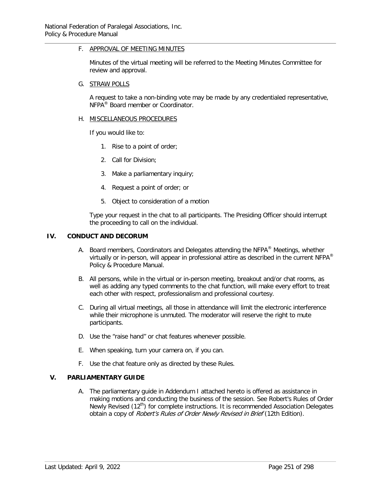## F. APPROVAL OF MEETING MINUTES

Minutes of the virtual meeting will be referred to the Meeting Minutes Committee for review and approval.

#### G. STRAW POLLS

A request to take a non-binding vote may be made by any credentialed representative, NFPA® Board member or Coordinator.

#### H. MISCELLANEOUS PROCEDURES

If you would like to:

- 1. Rise to a point of order;
- 2. Call for Division;
- 3. Make a parliamentary inquiry;
- 4. Request a point of order; or
- 5. Object to consideration of a motion

Type your request in the chat to all participants. The Presiding Officer should interrupt the proceeding to call on the individual.

## **IV. CONDUCT AND DECORUM**

- A. Board members, Coordinators and Delegates attending the NFPA<sup>®</sup> Meetings, whether virtually or in-person, will appear in professional attire as described in the current NFPA<sup>®</sup> Policy & Procedure Manual.
- B. All persons, while in the virtual or in-person meeting, breakout and/or chat rooms, as well as adding any typed comments to the chat function, will make every effort to treat each other with respect, professionalism and professional courtesy.
- C. During all virtual meetings, all those in attendance will limit the electronic interference while their microphone is unmuted. The moderator will reserve the right to mute participants.
- D. Use the "raise hand" or chat features whenever possible.
- E. When speaking, turn your camera on, if you can.
- F. Use the chat feature only as directed by these Rules.

# **V. PARLIAMENTARY GUIDE**

A. The parliamentary guide in Addendum I attached hereto is offered as assistance in making motions and conducting the business of the session. See Robert's Rules of Order Newly Revised (12<sup>th</sup>) for complete instructions. It is recommended Association Delegates obtain a copy of Robert's Rules of Order Newly Revised in Brief (12th Edition).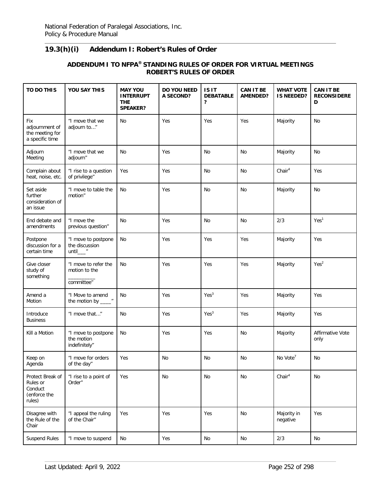# **19.3(h)(i) Addendum I: Robert's Rules of Order**

# **ADDENDUM I TO NFPA® STANDING RULES OF ORDER FOR VIRTUAL MEETINGS ROBERT'S RULES OF ORDER**

| TO DO THIS                                                        | YOU SAY THIS                                             | <b>MAY YOU</b><br><b>INTERRUPT</b><br><b>THE</b><br><b>SPEAKER?</b> | DO YOU NEED<br>A SECOND? | <b>ISIT</b><br><b>DEBATABLE</b><br>? | <b>CAN IT BE</b><br><b>AMENDED?</b> | <b>WHAT VOTE</b><br><b>IS NEEDED?</b> | <b>CAN IT BE</b><br><b>RECONSIDERE</b><br>D |
|-------------------------------------------------------------------|----------------------------------------------------------|---------------------------------------------------------------------|--------------------------|--------------------------------------|-------------------------------------|---------------------------------------|---------------------------------------------|
| Fix<br>adjournment of<br>the meeting for<br>a specific time       | "I move that we<br>adjourn to"                           | No                                                                  | Yes                      | Yes                                  | Yes                                 | Majority                              | No                                          |
| Adjourn<br>Meeting                                                | "I move that we<br>adjourn"                              | No                                                                  | Yes                      | No                                   | No                                  | Majority                              | No                                          |
| Complain about<br>heat, noise, etc.                               | "I rise to a question<br>of privilege"                   | Yes                                                                 | Yes                      | No                                   | <b>No</b>                           | Chair <sup>4</sup>                    | Yes                                         |
| Set aside<br>further<br>consideration of<br>an issue              | "I move to table the<br>motion"                          | No                                                                  | Yes                      | No                                   | No                                  | Majority                              | No                                          |
| End debate and<br>amendments                                      | "I move the<br>previous question"                        | No                                                                  | Yes                      | <b>No</b>                            | <b>No</b>                           | 2/3                                   | Yes <sup>1</sup>                            |
| Postpone<br>discussion for a<br>certain time                      | "I move to postpone<br>the discussion<br>until_ $\equiv$ | No                                                                  | Yes                      | Yes                                  | Yes                                 | Majority                              | Yes                                         |
| Give closer<br>study of<br>something                              | "I move to refer the<br>motion to the<br>committee"      | No                                                                  | Yes                      | Yes                                  | Yes                                 | Majority                              | Yes <sup>2</sup>                            |
| Amend a<br>Motion                                                 | "I Move to amend<br>the motion by _                      | No                                                                  | Yes                      | Yes <sup>3</sup>                     | Yes                                 | Majority                              | Yes                                         |
| Introduce<br><b>Business</b>                                      | "I move that"                                            | No                                                                  | Yes                      | Yes <sup>3</sup>                     | Yes                                 | Majority                              | Yes                                         |
| Kill a Motion                                                     | "I move to postpone<br>the motion<br>indefinitely"       | No                                                                  | Yes                      | Yes                                  | No                                  | Majority                              | Affirmative Vote<br>only                    |
| Keep on<br>Agenda                                                 | "I move for orders<br>of the day"                        | Yes                                                                 | No                       | No                                   | No                                  | No Vote <sup>7</sup>                  | No                                          |
| Protect Break of<br>Rules or<br>Conduct<br>(enforce the<br>rules) | "I rise to a point of<br>Order"                          | Yes                                                                 | No                       | No                                   | No                                  | Chair <sup>4</sup>                    | No                                          |
| Disagree with<br>the Rule of the<br>Chair                         | "I appeal the ruling<br>of the Chair"                    | Yes                                                                 | Yes                      | Yes                                  | No                                  | Majority in<br>negative               | Yes                                         |
| <b>Suspend Rules</b>                                              | "I move to suspend                                       | No                                                                  | Yes                      | No                                   | No                                  | 2/3                                   | No                                          |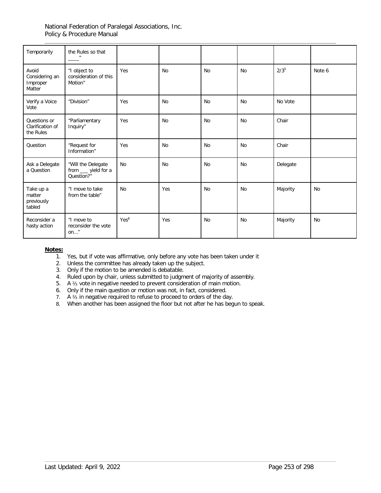| Temporarily                                   | the Rules so that                                       |                  |           |           |           |           |        |
|-----------------------------------------------|---------------------------------------------------------|------------------|-----------|-----------|-----------|-----------|--------|
| Avoid<br>Considering an<br>Improper<br>Matter | "I object to<br>consideration of this<br>Motion"        | Yes              | <b>No</b> | <b>No</b> | <b>No</b> | $2/3^{5}$ | Note 6 |
| Verify a Voice<br>Vote                        | "Division"                                              | Yes              | <b>No</b> | <b>No</b> | <b>No</b> | No Vote   |        |
| Questions or<br>Clarification of<br>the Rules | "Parliamentary<br>Inquiry"                              | Yes              | <b>No</b> | <b>No</b> | <b>No</b> | Chair     |        |
| Question                                      | "Request for<br>Information"                            | Yes              | <b>No</b> | <b>No</b> | <b>No</b> | Chair     |        |
| Ask a Delegate<br>a Question                  | "Will the Delegate<br>from __ yield for a<br>Question?" | <b>No</b>        | No        | <b>No</b> | No        | Delegate  |        |
| Take up a<br>matter<br>previously<br>tabled   | "I move to take<br>from the table"                      | <b>No</b>        | Yes       | <b>No</b> | <b>No</b> | Majority  | No     |
| Reconsider a<br>hasty action                  | "I move to<br>reconsider the vote<br>on"                | Yes <sup>8</sup> | Yes       | <b>No</b> | <b>No</b> | Majority  | No     |

### **Notes:**

- 1. Yes, but if vote was affirmative, only before any vote has been taken under it
- 2. Unless the committee has already taken up the subject.
- 3. Only if the motion to be amended is debatable.
- 4. Ruled upon by chair, unless submitted to judgment of majority of assembly.
- 5. A ⅔ vote in negative needed to prevent consideration of main motion.
- 6. Only if the main question or motion was not, in fact, considered.
- 7. A ⅔ in negative required to refuse to proceed to orders of the day.
- 8. When another has been assigned the floor but not after he has begun to speak.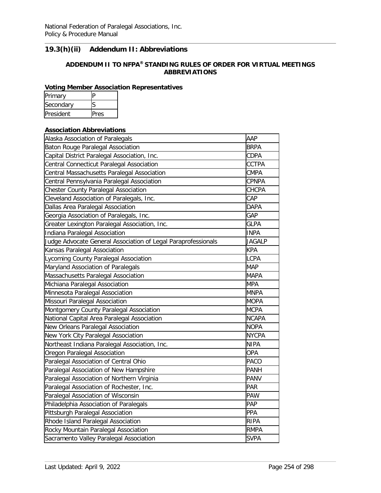# **19.3(h)(ii) Addendum II: Abbreviations**

# **ADDENDUM II TO NFPA® STANDING RULES OF ORDER FOR VIRTUAL MEETINGS ABBREVIATIONS**

## **Voting Member Association Representatives**

| Primary   |     |
|-----------|-----|
| Secondary |     |
| President | res |

#### **Association Abbreviations**

| Alaska Association of Paralegals                              | AAP           |
|---------------------------------------------------------------|---------------|
| <b>Baton Rouge Paralegal Association</b>                      | <b>BRPA</b>   |
| Capital District Paralegal Association, Inc.                  | <b>CDPA</b>   |
| Central Connecticut Paralegal Association                     | <b>CCTPA</b>  |
| Central Massachusetts Paralegal Association                   | <b>CMPA</b>   |
| Central Pennsylvania Paralegal Association                    | <b>CPNPA</b>  |
| Chester County Paralegal Association                          | <b>CHCPA</b>  |
| Cleveland Association of Paralegals, Inc.                     | CAP           |
| Dallas Area Paralegal Association                             | <b>DAPA</b>   |
| Georgia Association of Paralegals, Inc.                       | GAP           |
| Greater Lexington Paralegal Association, Inc.                 | <b>GLPA</b>   |
| Indiana Paralegal Association                                 | <b>INPA</b>   |
| Judge Advocate General Association of Legal Paraprofessionals | <b>JAGALP</b> |
| Kansas Paralegal Association                                  | <b>KPA</b>    |
| Lycoming County Paralegal Association                         | <b>LCPA</b>   |
| Maryland Association of Paralegals                            | <b>MAP</b>    |
| Massachusetts Paralegal Association                           | <b>MAPA</b>   |
| Michiana Paralegal Association                                | <b>MPA</b>    |
| Minnesota Paralegal Association                               | <b>MNPA</b>   |
| Missouri Paralegal Association                                | <b>MOPA</b>   |
| Montgomery County Paralegal Association                       | <b>MCPA</b>   |
| National Capital Area Paralegal Association                   | <b>NCAPA</b>  |
| New Orleans Paralegal Association                             | <b>NOPA</b>   |
| New York City Paralegal Association                           | <b>NYCPA</b>  |
| Northeast Indiana Paralegal Association, Inc.                 | <b>NIPA</b>   |
| Oregon Paralegal Association                                  | <b>OPA</b>    |
| Paralegal Association of Central Ohio                         | <b>PACO</b>   |
| Paralegal Association of New Hampshire                        | <b>PANH</b>   |
| Paralegal Association of Northern Virginia                    | <b>PANV</b>   |
| Paralegal Association of Rochester, Inc.                      | <b>PAR</b>    |
| Paralegal Association of Wisconsin                            | <b>PAW</b>    |
| Philadelphia Association of Paralegals                        | PAP           |
| Pittsburgh Paralegal Association                              | PPA           |
| Rhode Island Paralegal Association                            | <b>RIPA</b>   |
| Rocky Mountain Paralegal Association                          | <b>RMPA</b>   |
| Sacramento Valley Paralegal Association                       | <b>SVPA</b>   |